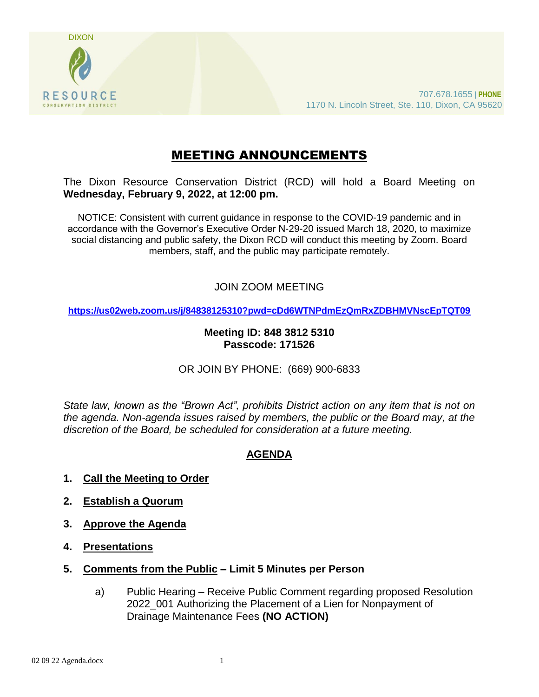

# MEETING ANNOUNCEMENTS

The Dixon Resource Conservation District (RCD) will hold a Board Meeting on **Wednesday, February 9, 2022, at 12:00 pm.** 

NOTICE: Consistent with current guidance in response to the COVID-19 pandemic and in accordance with the Governor's Executive Order N-29-20 issued March 18, 2020, to maximize social distancing and public safety, the Dixon RCD will conduct this meeting by Zoom. Board members, staff, and the public may participate remotely.

## JOIN ZOOM MEETING

**<https://us02web.zoom.us/j/84838125310?pwd=cDd6WTNPdmEzQmRxZDBHMVNscEpTQT09>**

#### **Meeting ID: 848 3812 5310 Passcode: 171526**

#### OR JOIN BY PHONE: (669) 900-6833

*State law, known as the "Brown Act", prohibits District action on any item that is not on the agenda. Non-agenda issues raised by members, the public or the Board may, at the discretion of the Board, be scheduled for consideration at a future meeting.*

## **AGENDA**

- **1. Call the Meeting to Order**
- **2. Establish a Quorum**
- **3. Approve the Agenda**
- **4. Presentations**
- **5. Comments from the Public – Limit 5 Minutes per Person**
	- a) Public Hearing Receive Public Comment regarding proposed Resolution 2022\_001 Authorizing the Placement of a Lien for Nonpayment of Drainage Maintenance Fees **(NO ACTION)**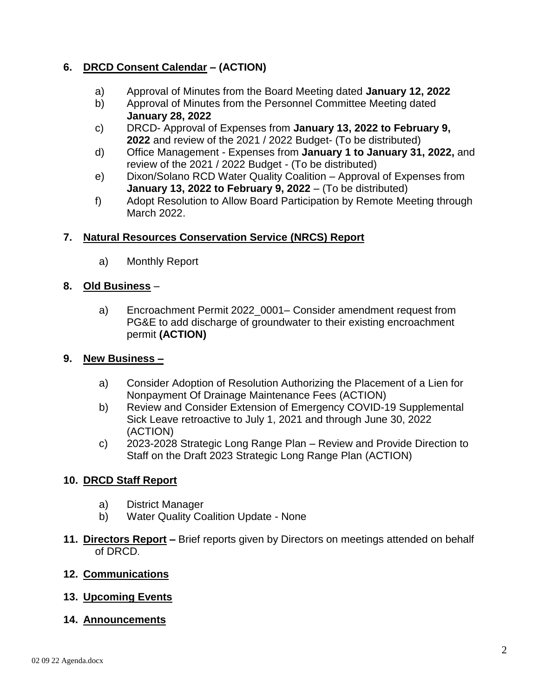# **6. DRCD Consent Calendar – (ACTION)**

- a) Approval of Minutes from the Board Meeting dated **January 12, 2022**
- b) Approval of Minutes from the Personnel Committee Meeting dated **January 28, 2022**
- c) DRCD- Approval of Expenses from **January 13, 2022 to February 9, 2022** and review of the 2021 / 2022 Budget- (To be distributed)
- d) Office Management Expenses from **January 1 to January 31, 2022,** and review of the 2021 / 2022 Budget - (To be distributed)
- e) Dixon/Solano RCD Water Quality Coalition Approval of Expenses from **January 13, 2022 to February 9, 2022** – (To be distributed)
- f) Adopt Resolution to Allow Board Participation by Remote Meeting through March 2022.

## **7. Natural Resources Conservation Service (NRCS) Report**

a) Monthly Report

## **8. Old Business** –

a) Encroachment Permit 2022 0001– Consider amendment request from PG&E to add discharge of groundwater to their existing encroachment permit **(ACTION)**

## **9. New Business –**

- a) Consider Adoption of Resolution Authorizing the Placement of a Lien for Nonpayment Of Drainage Maintenance Fees (ACTION)
- b) Review and Consider Extension of Emergency COVID-19 Supplemental Sick Leave retroactive to July 1, 2021 and through June 30, 2022 (ACTION)
- c) 2023-2028 Strategic Long Range Plan Review and Provide Direction to Staff on the Draft 2023 Strategic Long Range Plan (ACTION)

## **10. DRCD Staff Report**

- a) District Manager
- b) Water Quality Coalition Update None
- **11. Directors Report –** Brief reports given by Directors on meetings attended on behalf of DRCD.

## **12. Communications**

## **13. Upcoming Events**

## **14. Announcements**